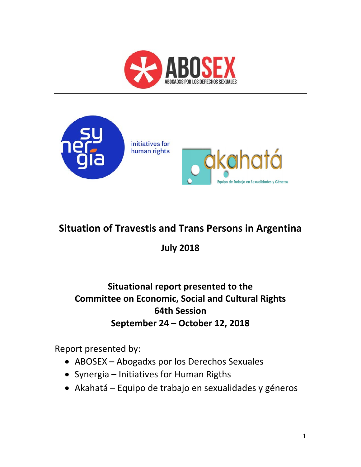



# **Situation of Travestis and Trans Persons in Argentina**

**July 2018**

## **Situational report presented to the Committee on Economic, Social and Cultural Rights 64th Session September 24 – October 12, 2018**

Report presented by:

- ABOSEX Abogadxs por los Derechos Sexuales
- Synergia Initiatives for Human Rigths
- Akahatá Equipo de trabajo en sexualidades y géneros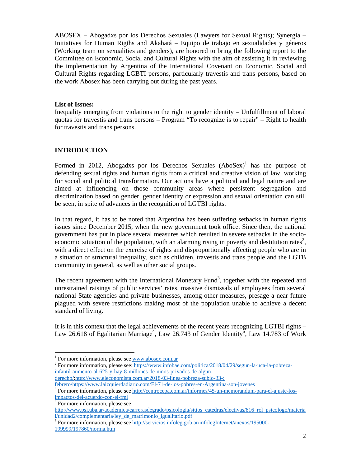ABOSEX – Abogadxs por los Derechos Sexuales (Lawyers for Sexual Rights); Synergia – Initiatives for Human Rigths and Akahatá – Equipo de trabajo en sexualidades y géneros (Working team on sexualities and genders), are honored to bring the following report to the Committee on Economic, Social and Cultural Rights with the aim of assisting it in reviewing the implementation by Argentina of the International Covenant on Economic, Social and Cultural Rights regarding LGBTI persons, particularly travestis and trans persons, based on the work Abosex has been carrying out during the past years.

#### **List of Issues:**

Inequality emerging from violations to the right to gender identity – Unfulfillment of laboral quotas for travestis and trans persons – Program "To recognize is to repair" – Right to health for travestis and trans persons.

### **INTRODUCTION**

Formed in 2012, Abogadxs por los Derechos Sexuales  $(AboSex)^1$  has the purpose of defending sexual rights and human rights from a critical and creative vision of law, working for social and political transformation. Our actions have a political and legal nature and are aimed at influencing on those community areas where persistent segregation and discrimination based on gender, gender identity or expression and sexual orientation can still be seen, in spite of advances in the recognition of LGTBI rights.

In that regard, it has to be noted that Argentina has been suffering setbacks in human rights issues since December 2015, when the new government took office. Since then, the national government has put in place several measures which resulted in severe setbacks in the socioeconomic situation of the population, with an alarming rising in poverty and destitution rates<sup>2</sup>, with a direct effect on the exercise of rights and disproportionally affecting people who are in a situation of structural inequality, such as children, travestis and trans people and the LGTB community in general, as well as other social groups.

The recent agreement with the International Monetary Fund<sup>3</sup>, together with the repeated and unrestrained raisings of public services' rates, massive dismissals of employees from several national State agencies and private businesses, among other measures, presage a near future plagued with severe restrictions making most of the population unable to achieve a decent standard of living.

It is in this context that the legal achievements of the recent years recognizing LGTBI rights – Law 26.618 of Egalitarian Marriage<sup>4</sup>, Law 26.743 of Gender Identity<sup>5</sup>, Law 14.783 of Work

derecho/;http://www.eleconomista.com.ar/2018-03-linea-pobreza-subio-33-;

<sup>&</sup>lt;sup>1</sup> For more information, please see  $\frac{www.abosex.com.ar}{www.abosex.com.ar}$ 

<sup>&</sup>lt;sup>2</sup> For more information, please see: https://www.infobae.com/politica/2018/04/29/segun-la-uca-la-pobrezainfantil-aumento-al-625-y-hay-8-millones-de-ninos-privados-de-algun-

febrero/https://www.laizquierdadiario.com/El-71-de-los-pobres-en-Argentina-son-jovenes

<sup>&</sup>lt;sup>3</sup> For more information, please see http://centrocepa.com.ar/informes/45-un-memorandum-para-el-ajuste-losimpactos-del-acuerdo-con-el-fmi

<sup>4</sup> For more information, please see

http://www.psi.uba.ar/academica/carrerasdegrado/psicologia/sitios\_catedras/electivas/816\_rol\_psicologo/materia l/unidad2/complementaria/ley\_de\_matrimonio\_igualitario.pdf

<sup>&</sup>lt;sup>5</sup> For more information, please see http://servicios.infoleg.gob.ar/infolegInternet/anexos/195000-199999/197860/norma.htm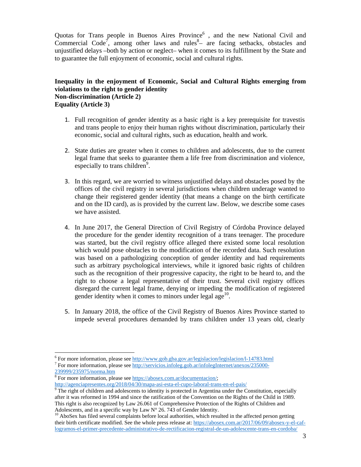Quotas for Trans people in Buenos Aires Province<sup>6</sup>, and the new National Civil and Commercial Code<sup>7</sup>, among other laws and rules<sup>8</sup> are facing setbacks, obstacles and unjustified delays –both by action or neglect– when it comes to its fulfillment by the State and to guarantee the full enjoyment of economic, social and cultural rights.

## **Inequality in the enjoyment of Economic, Social and Cultural Rights emerging from violations to the right to gender identity Non-discrimination (Article 2) Equality (Article 3)**

- 1. Full recognition of gender identity as a basic right is a key prerequisite for travestis and trans people to enjoy their human rights without discrimination, particularly their economic, social and cultural rights, such as education, health and work.
- 2. State duties are greater when it comes to children and adolescents, due to the current legal frame that seeks to guarantee them a life free from discrimination and violence, especially to trans children<sup>9</sup>.
- 3. In this regard, we are worried to witness unjustified delays and obstacles posed by the offices of the civil registry in several jurisdictions when children underage wanted to change their registered gender identity (that means a change on the birth certificate and on the ID card), as is provided by the current law. Below, we describe some cases we have assisted.
- 4. In June 2017, the General Direction of Civil Registry of Córdoba Province delayed the procedure for the gender identity recognition of a trans teenager. The procedure was started, but the civil registry office alleged there existed some local resolution which would pose obstacles to the modification of the recorded data. Such resolution was based on a pathologizing conception of gender identity and had requirements such as arbitrary psychological interviews, while it ignored basic rights of children such as the recognition of their progressive capacity, the right to be heard to, and the right to choose a legal representative of their trust. Several civil registry offices disregard the current legal frame, denying or impeding the modification of registered gender identity when it comes to minors under legal age $^{10}$ .
- 5. In January 2018, the office of the Civil Registry of Buenos Aires Province started to impede several procedures demanded by trans children under 13 years old, clearly

 $^6$  For more information, please see http://www.gob.gba.gov.ar/legislacion/legislacion/l-14783.html<br> $^7$  For more information, please see http://gomisics.infoleg.gob.gr/infolegInternat/gneuse/225000

<sup>&</sup>lt;sup>7</sup> For more information, please see http://servicios.infoleg.gob.ar/infolegInternet/anexos/235000-239999/235975/norma.htm

<sup>&</sup>lt;sup>8</sup> For more information, please see https://abosex.com.ar/documentacion/; http://agenciapresentes.org/2018/04/30/mapa-asi-esta-el-cupo-laboral-trans-en-el-pais/

 $9$  The right of children and adolescents to identity is protected in Argentina under the Constitution, especially after it was reformed in 1994 and since the ratification of the Convention on the Rights of the Child in 1989. This right is also recognized by Law 26.061 of Comprehensive Protection of the Rights of Children and Adolescents, and in a specific way by Law  $N^{\circ}$  26.743 of Gender Identity.

 $^{10}$  AboSex has filed several complaints before local authorities, which resulted in the affected person getting their birth certificate modified. See the whole press release at: https://abosex.com.ar/2017/06/09/abosex-y-el-caflogramos-el-primer-precedente-administrativo-de-rectificacion-registral-de-un-adolescente-trans-en-cordoba/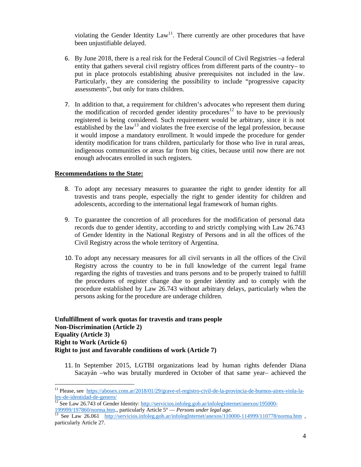violating the Gender Identity  $Law<sup>11</sup>$ . There currently are other procedures that have been unjustifiable delayed.

- 6. By June 2018, there is a real risk for the Federal Council of Civil Registries –a federal entity that gathers several civil registry offices from different parts of the country– to put in place protocols establishing abusive prerequisites not included in the law. Particularly, they are considering the possibility to include "progressive capacity assessments", but only for trans children.
- 7. In addition to that, a requirement for children's advocates who represent them during the modification of recorded gender identity procedures<sup>12</sup> to have to be previously registered is being considered. Such requirement would be arbitrary, since it is not established by the  $law<sup>13</sup>$  and violates the free exercise of the legal profession, because it would impose a mandatory enrollment. It would impede the procedure for gender identity modification for trans children, particularly for those who live in rural areas, indigenous communities or areas far from big cities, because until now there are not enough advocates enrolled in such registers.

#### **Recommendations to the State:**

 $\overline{a}$ 

- 8. To adopt any necessary measures to guarantee the right to gender identity for all travestis and trans people, especially the right to gender identity for children and adolescents, according to the international legal framework of human rights.
- 9. To guarantee the concretion of all procedures for the modification of personal data records due to gender identity, according to and strictly complying with Law 26.743 of Gender Identity in the National Registry of Persons and in all the offices of the Civil Registry across the whole territory of Argentina.
- 10. To adopt any necessary measures for all civil servants in all the offices of the Civil Registry across the country to be in full knowledge of the current legal frame regarding the rights of travesties and trans persons and to be properly trained to fulfill the procedures of register change due to gender identity and to comply with the procedure established by Law 26.743 without arbitrary delays, particularly when the persons asking for the procedure are underage children.

#### **Unfulfillment of work quotas for travestis and trans people Non-Discrimination (Article 2) Equality (Article 3) Right to Work (Article 6) Right to just and favorable conditions of work (Article 7)**

11. In September 2015, LGTBI organizations lead by human rights defender Diana Sacayán –who was brutally murdered in October of that same year– achieved the

<sup>&</sup>lt;sup>11</sup> Please, see <u>https://abosex.com.ar/2018/01/29/grave-el-registro-civil-de-la-provincia-de-buenos-aires-viola-la-<br>ley-de-identidad-de-genero/<br><sup>12</sup> See Law 26,742 of Cardia L<sup>1</sup></u>

<sup>&</sup>lt;sup>12</sup> See Law 26.743 of Gender Identity: http://servicios.infoleg.gob.ar/infolegInternet/anexos/195000-<br>199999/197860/norma.htm., particularly Article 5<sup>°</sup> — *Persons under legal age*.

<sup>&</sup>lt;sup>13</sup> See Law 26.061 http://servicios.infoleg.gob.ar/infolegInternet/anexos/110000-114999/110778/norma.htm , particularly Article 27.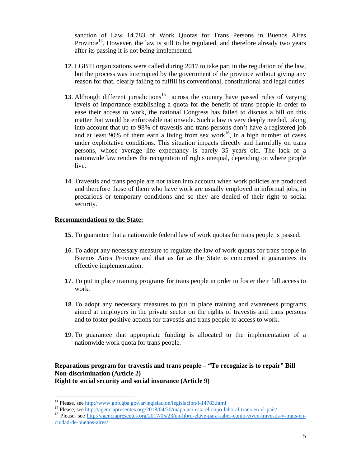sanction of Law 14.783 of Work Quotas for Trans Persons in Buenos Aires Province<sup>14</sup>. However, the law is still to be regulated, and therefore already two years after its passing it is not being implemented.

- 12. LGBTI organizations were called during 2017 to take part in the regulation of the law, but the process was interrupted by the government of the province without giving any reason for that, clearly failing to fulfill its conventional, constitutional and legal duties.
- 13. Although different jurisdictions<sup>15</sup> across the country have passed rules of varying levels of importance establishing a quota for the benefit of trans people in order to ease their access to work, the national Congress has failed to discuss a bill on this matter that would be enforceable nationwide. Such a law is very deeply needed, taking into account that up to 98% of travestis and trans persons don't have a registered job and at least 90% of them earn a living from sex work<sup>16</sup>, in a high number of cases under exploitative conditions. This situation impacts directly and harmfully on trans persons, whose average life expectancy is barely 35 years old. The lack of a nationwide law renders the recognition of rights unequal, depending on where people live.
- 14. Travestis and trans people are not taken into account when work policies are produced and therefore those of them who have work are usually employed in informal jobs, in precarious or temporary conditions and so they are denied of their right to social security.

#### **Recommendations to the State:**

- 15. To guarantee that a nationwide federal law of work quotas for trans people is passed.
- 16. To adopt any necessary measure to regulate the law of work quotas for trans people in Buenos Aires Province and that as far as the State is concerned it guarantees its effective implementation.
- 17. To put in place training programs for trans people in order to foster their full access to work.
- 18. To adopt any necessary measures to put in place training and awareness programs aimed at employers in the private sector on the rights of travestis and trans persons and to foster positive actions for travestis and trans people to access to work.
- 19. To guarantee that appropriate funding is allocated to the implementation of a nationwide work quota for trans people.

#### **Reparations program for travestis and trans people – "To recognize is to repair" Bill Non-discrimination (Article 2) Right to social security and social insurance (Article 9)**

<sup>&</sup>lt;sup>14</sup> Please, see http://www.gob.gba.gov.ar/legislacion/legislacion/l-14783.html

<sup>&</sup>lt;sup>15</sup> Please, see http://agenciapresentes.org/2018/04/30/mapa-asi-esta-el-cupo-laboral-trans-en-el-pais/<br><sup>16</sup> Please, see http://agenciapresentes.org/2017/05/23/un-libro-clave-para-saber-como-viven-travestis-y-trans-en-

ciudad-de-buenos-aires/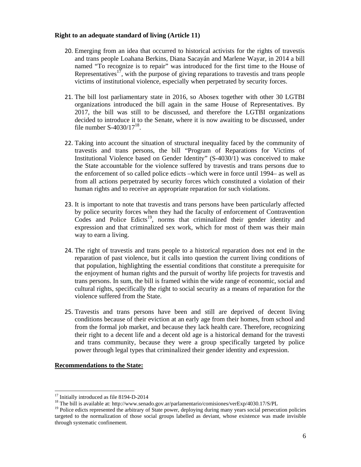#### **Right to an adequate standard of living (Article 11)**

- 20. Emerging from an idea that occurred to historical activists for the rights of travestis and trans people Loahana Berkins, Diana Sacayán and Marlene Wayar, in 2014 a bill named "To recognize is to repair" was introduced for the first time to the House of Representatives<sup>17</sup>, with the purpose of giving reparations to travestis and trans people victims of institutional violence, especially when perpetrated by security forces.
- 21. The bill lost parliamentary state in 2016, so Abosex together with other 30 LGTBI organizations introduced the bill again in the same House of Representatives. By 2017, the bill was still to be discussed, and therefore the LGTBI organizations decided to introduce it to the Senate, where it is now awaiting to be discussed, under file number  $S-4030/17^{18}$ .
- 22. Taking into account the situation of structural inequality faced by the community of travestis and trans persons, the bill "Program of Reparations for Victims of Institutional Violence based on Gender Identity" (S-4030/1) was conceived to make the State accountable for the violence suffered by travestis and trans persons due to the enforcement of so called police edicts –which were in force until 1994– as well as from all actions perpetrated by security forces which constituted a violation of their human rights and to receive an appropriate reparation for such violations.
- 23. It is important to note that travestis and trans persons have been particularly affected by police security forces when they had the faculty of enforcement of Contravention Codes and Police Edicts<sup>19</sup>, norms that criminalized their gender identity and expression and that criminalized sex work, which for most of them was their main way to earn a living.
- 24. The right of travestis and trans people to a historical reparation does not end in the reparation of past violence, but it calls into question the current living conditions of that population, highlighting the essential conditions that constitute a prerequisite for the enjoyment of human rights and the pursuit of worthy life projects for travestis and trans persons. In sum, the bill is framed within the wide range of economic, social and cultural rights, specifically the right to social security as a means of reparation for the violence suffered from the State.
- 25. Travestis and trans persons have been and still are deprived of decent living conditions because of their eviction at an early age from their homes, from school and from the formal job market, and because they lack health care. Therefore, recognizing their right to a decent life and a decent old age is a historical demand for the travesti and trans community, because they were a group specifically targeted by police power through legal types that criminalized their gender identity and expression.

#### **Recommendations to the State:**

<sup>&</sup>lt;sup>17</sup> Initially introduced as file 8194-D-2014

<sup>18</sup> The bill is available at: http://www.senado.gov.ar/parlamentario/comisiones/verExp/4030.17/S/PL

<sup>&</sup>lt;sup>19</sup> Police edicts represented the arbitrary of State power, deploying during many years social persecution policies targeted to the normalization of those social groups labelled as deviant, whose existence was made invisible through systematic confinement.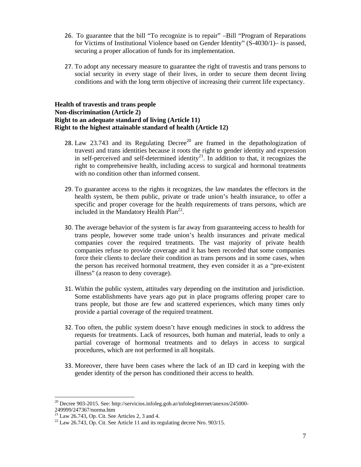- 26. To guarantee that the bill "To recognize is to repair" –Bill "Program of Reparations for Victims of Institutional Violence based on Gender Identity" (S-4030/1)– is passed, securing a proper allocation of funds for its implementation.
- 27. To adopt any necessary measure to guarantee the right of travestis and trans persons to social security in every stage of their lives, in order to secure them decent living conditions and with the long term objective of increasing their current life expectancy.

#### **Health of travestis and trans people Non-discrimination (Article 2) Right to an adequate standard of living (Article 11) Right to the highest attainable standard of health (Article 12)**

- 28. Law 23.743 and its Regulating Decree<sup>20</sup> are framed in the depathologization of travesti and trans identities because it roots the right to gender identity and expression in self-perceived and self-determined identity<sup>21</sup>. In addition to that, it recognizes the right to comprehensive health, including access to surgical and hormonal treatments with no condition other than informed consent.
- 29. To guarantee access to the rights it recognizes, the law mandates the effectors in the health system, be them public, private or trade union's health insurance, to offer a specific and proper coverage for the health requirements of trans persons, which are included in the Mandatory Health  $Plan<sup>22</sup>$ .
- 30. The average behavior of the system is far away from guaranteeing access to health for trans people, however some trade union's health insurances and private medical companies cover the required treatments. The vast majority of private health companies refuse to provide coverage and it has been recorded that some companies force their clients to declare their condition as trans persons and in some cases, when the person has received hormonal treatment, they even consider it as a "pre-existent illness" (a reason to deny coverage).
- 31. Within the public system, attitudes vary depending on the institution and jurisdiction. Some establishments have years ago put in place programs offering proper care to trans people, but those are few and scattered experiences, which many times only provide a partial coverage of the required treatment.
- 32. Too often, the public system doesn't have enough medicines in stock to address the requests for treatments. Lack of resources, both human and material, leads to only a partial coverage of hormonal treatments and to delays in access to surgical procedures, which are not performed in all hospitals.
- 33. Moreover, there have been cases where the lack of an ID card in keeping with the gender identity of the person has conditioned their access to health.

<sup>&</sup>lt;sup>20</sup> Decree 903-2015. See: http://servicios.infoleg.gob.ar/infolegInternet/anexos/245000-

<sup>249999/247367/</sup>norma.htm

 $21$  Law 26.743, Op. Cit. See Articles 2, 3 and 4.

 $^{22}$  Law 26.743, Op. Cit. See Article 11 and its regulating decree Nro. 903/15.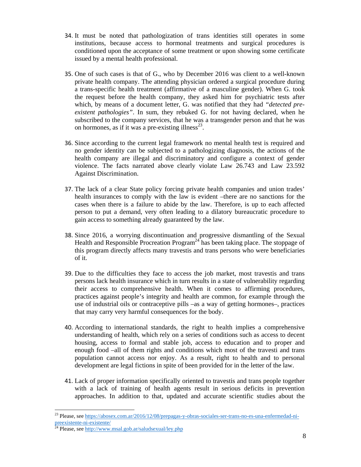- 34. It must be noted that pathologization of trans identities still operates in some institutions, because access to hormonal treatments and surgical procedures is conditioned upon the acceptance of some treatment or upon showing some certificate issued by a mental health professional.
- 35. One of such cases is that of G., who by December 2016 was client to a well-known private health company. The attending physician ordered a surgical procedure during a trans-specific health treatment (affirmative of a masculine gender). When G. took the request before the health company, they asked him for psychiatric tests after which, by means of a document letter, G. was notified that they had *"detected preexistent pathologies"*. In sum, they rebuked G. for not having declared, when he subscribed to the company services, that he was a transgender person and that he was on hormones, as if it was a pre-existing illness<sup>23</sup>.
- 36. Since according to the current legal framework no mental health test is required and no gender identity can be subjected to a pathologizing diagnosis, the actions of the health company are illegal and discriminatory and configure a context of gender violence. The facts narrated above clearly violate Law 26.743 and Law 23.592 Against Discrimination.
- 37. The lack of a clear State policy forcing private health companies and union trades' health insurances to comply with the law is evident –there are no sanctions for the cases when there is a failure to abide by the law. Therefore, is up to each affected person to put a demand, very often leading to a dilatory bureaucratic procedure to gain access to something already guaranteed by the law.
- 38. Since 2016, a worrying discontinuation and progressive dismantling of the Sexual Health and Responsible Procreation Program<sup>24</sup> has been taking place. The stoppage of this program directly affects many travestis and trans persons who were beneficiaries of it.
- 39. Due to the difficulties they face to access the job market, most travestis and trans persons lack health insurance which in turn results in a state of vulnerability regarding their access to comprehensive health. When it comes to affirming procedures, practices against people's integrity and health are common, for example through the use of industrial oils or contraceptive pills –as a way of getting hormones–, practices that may carry very harmful consequences for the body.
- 40. According to international standards, the right to health implies a comprehensive understanding of health, which rely on a series of conditions such as access to decent housing, access to formal and stable job, access to education and to proper and enough food –all of them rights and conditions which most of the travesti and trans population cannot access nor enjoy. As a result, right to health and to personal development are legal fictions in spite of been provided for in the letter of the law.
- 41. Lack of proper information specifically oriented to travestis and trans people together with a lack of training of health agents result in serious deficits in prevention approaches. In addition to that, updated and accurate scientific studies about the

<sup>&</sup>lt;sup>23</sup> Please, see https://abosex.com.ar/2016/12/08/prepagas-y-obras-sociales-ser-trans-no-es-una-enfermedad-nipreexistente-ni-existente/

<sup>&</sup>lt;sup>24</sup> Please, see http://www.msal.gob.ar/saludsexual/ley.php